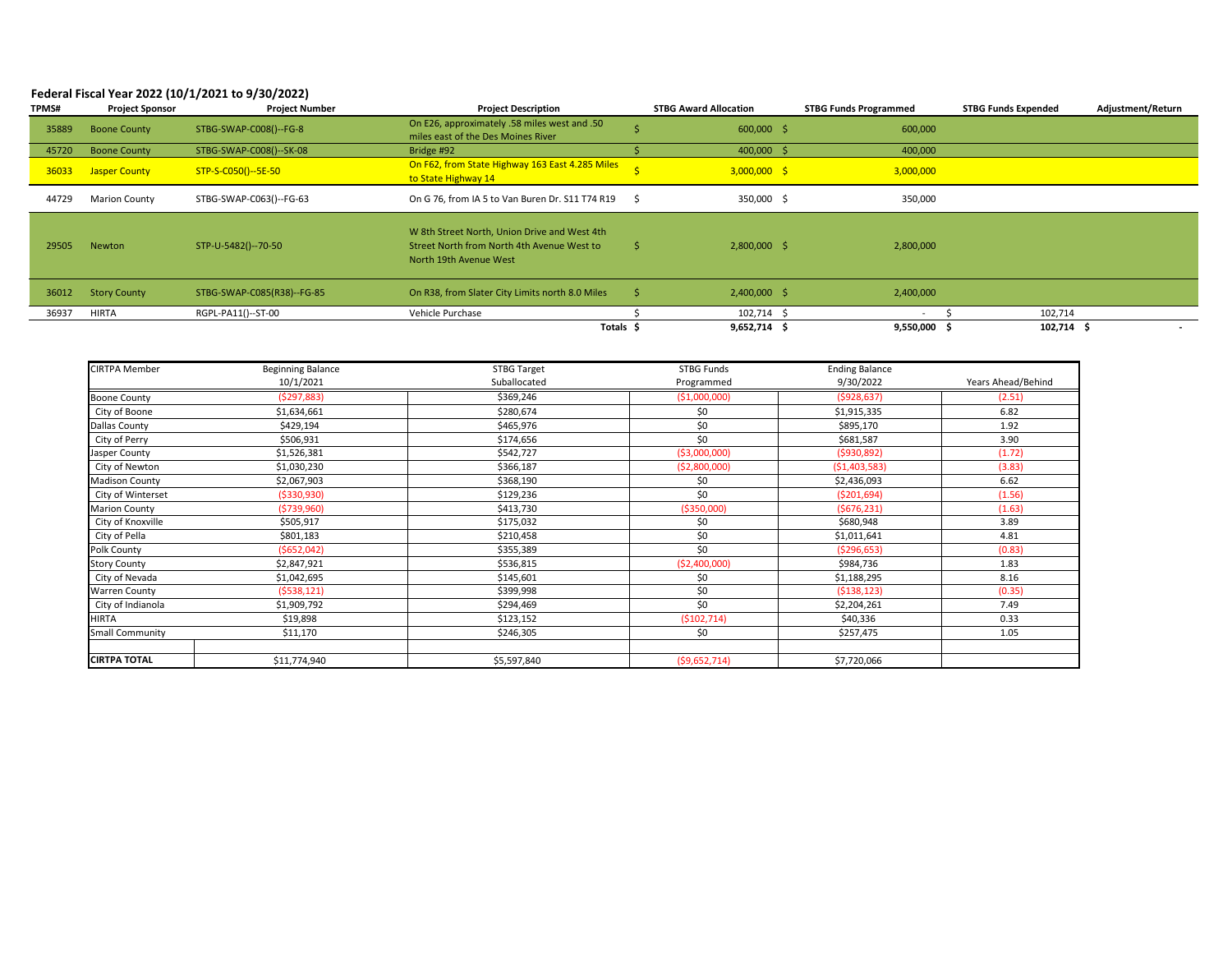## **Federal Fiscal Year 2022 (10/1/2021 to 9/30/2022)**

| TPMS# | <b>Project Sponsor</b> | <b>Project Number</b>      | <b>Project Description</b>                                                                                           |     | <b>STBG Award Allocation</b> | <b>STBG Funds Programmed</b> | <b>STBG Funds Expended</b> | Adjustment/Return |
|-------|------------------------|----------------------------|----------------------------------------------------------------------------------------------------------------------|-----|------------------------------|------------------------------|----------------------------|-------------------|
| 35889 | <b>Boone County</b>    | STBG-SWAP-C008()--FG-8     | On E26, approximately .58 miles west and .50<br>miles east of the Des Moines River                                   |     | 600,000 \$                   | 600,000                      |                            |                   |
| 45720 | <b>Boone County</b>    | STBG-SWAP-C008()--SK-08    | Bridge #92                                                                                                           |     | 400,000 \$                   | 400,000                      |                            |                   |
| 36033 | <b>Jasper County</b>   | STP-S-C050()--5E-50        | On F62, from State Highway 163 East 4.285 Miles<br>to State Highway 14                                               |     | $3,000,000$ \$               | 3,000,000                    |                            |                   |
| 44729 | <b>Marion County</b>   | STBG-SWAP-C063()--FG-63    | On G 76, from IA 5 to Van Buren Dr. S11 T74 R19                                                                      | - 5 | 350,000 \$                   | 350,000                      |                            |                   |
| 29505 | Newton                 | STP-U-5482()--70-50        | W 8th Street North, Union Drive and West 4th<br>Street North from North 4th Avenue West to<br>North 19th Avenue West |     | 2,800,000 \$                 | 2,800,000                    |                            |                   |
| 36012 | <b>Story County</b>    | STBG-SWAP-C085(R38)--FG-85 | On R38, from Slater City Limits north 8.0 Miles                                                                      |     | $2,400,000$ \$               | 2,400,000                    |                            |                   |
| 36937 | HIRTA                  | RGPL-PA11()--ST-00         | Vehicle Purchase                                                                                                     |     | 102,714 \$                   |                              | 102,714                    |                   |
|       |                        |                            | Totals \$                                                                                                            |     | $9,652,714$ \$               | 9,550,000 \$                 | 102,714 \$                 |                   |

| <b>CIRTPA Member</b>   | <b>Beginning Balance</b> | STBG Target  | STBG Funds     | <b>Ending Balance</b> |                    |
|------------------------|--------------------------|--------------|----------------|-----------------------|--------------------|
|                        | 10/1/2021                | Suballocated | Programmed     | 9/30/2022             | Years Ahead/Behind |
| <b>Boone County</b>    | (\$297,883)              | \$369,246    | ( \$1,000,000) | (5928, 637)           | (2.51)             |
| City of Boone          | \$1,634,661              | \$280,674    | \$0            | \$1,915,335           | 6.82               |
| <b>Dallas County</b>   | \$429,194                | \$465,976    | \$0            | \$895,170             | 1.92               |
| City of Perry          | \$506,931                | \$174,656    | \$0            | \$681,587             | 3.90               |
| Jasper County          | \$1,526,381              | \$542,727    | ( \$3,000,000) | ( \$930, 892)         | (1.72)             |
| City of Newton         | \$1,030,230              | \$366,187    | ( \$2,800,000) | ( \$1,403,583)        | (3.83)             |
| <b>Madison County</b>  | \$2,067,903              | \$368,190    | \$0            | \$2,436,093           | 6.62               |
| City of Winterset      | ( \$330, 930)            | \$129,236    | \$0            | (5201, 694)           | (1.56)             |
| <b>Marion County</b>   | (5739,960)               | \$413,730    | ( \$350,000]   | (5676, 231)           | (1.63)             |
| City of Knoxville      | \$505,917                | \$175,032    | \$0            | \$680,948             | 3.89               |
| City of Pella          | \$801,183                | \$210,458    | \$0            | \$1,011,641           | 4.81               |
| Polk County            | (\$652,042)              | \$355,389    | \$0            | ( \$296, 653)         | (0.83)             |
| <b>Story County</b>    | \$2,847,921              | \$536,815    | ( \$2,400,000) | \$984,736             | 1.83               |
| City of Nevada         | \$1,042,695              | \$145,601    | \$0            | \$1,188,295           | 8.16               |
| Warren County          | (\$538,121)              | \$399,998    | \$0            | ( \$138, 123)         | (0.35)             |
| City of Indianola      | \$1,909,792              | \$294,469    | \$0            | \$2,204,261           | 7.49               |
| <b>HIRTA</b>           | \$19,898                 | \$123,152    | (\$102,714)    | \$40,336              | 0.33               |
| <b>Small Community</b> | \$11,170                 | \$246,305    | \$0            | \$257,475             | 1.05               |
|                        |                          |              |                |                       |                    |
| <b>CIRTPA TOTAL</b>    | \$11,774,940             | \$5,597,840  | ( \$9,652,714) | \$7,720,066           |                    |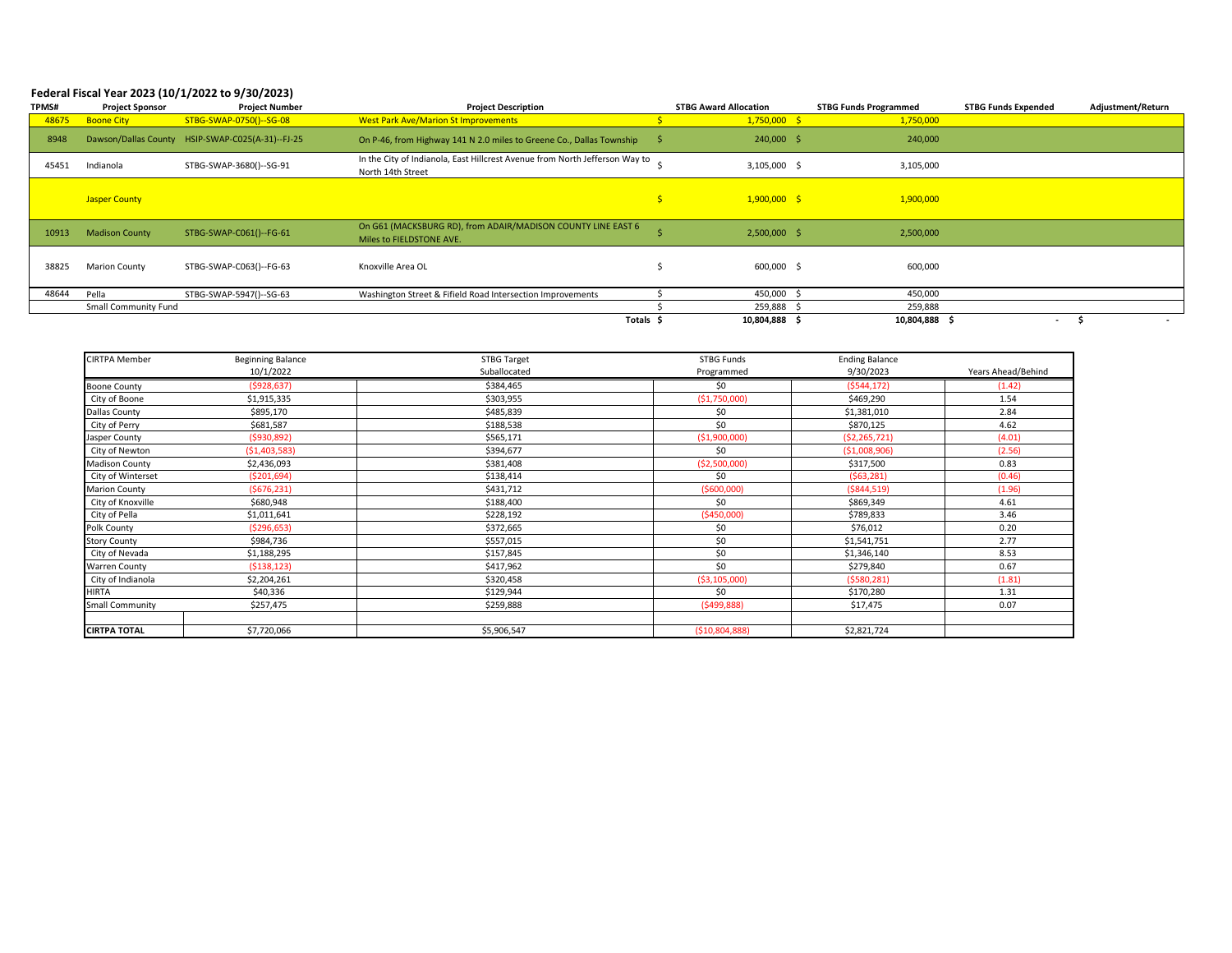## **Federal Fiscal Year 2023 (10/1/2022 to 9/30/2023)**

| TPMS# | <b>Project Sponsor</b> | <b>Project Number</b>                            | <b>Project Description</b>                                                                       | <b>STBG Award Allocation</b> | <b>STBG Funds Programmed</b> | <b>STBG Funds Expended</b> | Adjustment/Return |
|-------|------------------------|--------------------------------------------------|--------------------------------------------------------------------------------------------------|------------------------------|------------------------------|----------------------------|-------------------|
| 48675 | <b>Boone City</b>      | STBG-SWAP-0750()--SG-08                          | <b>West Park Ave/Marion St Improvements</b>                                                      | $1,750,000$ \$               | 1,750,000                    |                            |                   |
| 8948  |                        | Dawson/Dallas County HSIP-SWAP-C025(A-31)--FJ-25 | On P-46, from Highway 141 N 2.0 miles to Greene Co., Dallas Township \$                          | $240,000$ \$                 | 240,000                      |                            |                   |
| 45451 | Indianola              | STBG-SWAP-3680()--SG-91                          | In the City of Indianola, East Hillcrest Avenue from North Jefferson Way to<br>North 14th Street | 3,105,000 \$                 | 3,105,000                    |                            |                   |
|       | <b>Jasper County</b>   |                                                  |                                                                                                  | $1,900,000$ \$               | 1,900,000                    |                            |                   |
| 10913 | <b>Madison County</b>  | STBG-SWAP-C061()--FG-61                          | On G61 (MACKSBURG RD), from ADAIR/MADISON COUNTY LINE EAST 6<br>Miles to FIELDSTONE AVE.         | $2,500,000$ \$               | 2,500,000                    |                            |                   |
| 38825 | <b>Marion County</b>   | STBG-SWAP-C063()--FG-63                          | Knoxville Area OL                                                                                | 600,000 \$                   | 600,000                      |                            |                   |
| 48644 | Pella                  | STBG-SWAP-5947()--SG-63                          | Washington Street & Fifield Road Intersection Improvements                                       | 450,000 \$                   | 450,000                      |                            |                   |
|       | Small Community Fund   |                                                  |                                                                                                  | 259,888                      | 259,888                      |                            |                   |
|       |                        |                                                  | Totals \$                                                                                        | 10,804,888 \$                | 10,804,888                   | ۰                          |                   |

| <b>CIRTPA Member</b>   | <b>Beginning Balance</b> | STBG Target  | STBG Funds      | <b>Ending Balance</b> |                    |
|------------------------|--------------------------|--------------|-----------------|-----------------------|--------------------|
|                        | 10/1/2022                | Suballocated | Programmed      | 9/30/2023             | Years Ahead/Behind |
| <b>Boone County</b>    | ( \$928, 637)            | \$384,465    | \$0             | (5544, 172)           | (1.42)             |
| City of Boone          | \$1,915,335              | \$303,955    | (\$1,750,000)   | \$469,290             | 1.54               |
| <b>Dallas County</b>   | \$895,170                | \$485,839    | \$0             | \$1,381,010           | 2.84               |
| City of Perry          | \$681,587                | \$188,538    | \$0             | \$870,125             | 4.62               |
| Jasper County          | ( \$930, 892)            | \$565,171    | ( \$1,900,000)  | (52, 265, 721)        | (4.01)             |
| City of Newton         | (51,403,583)             | \$394,677    | \$0             | ( \$1,008,906)        | (2.56)             |
| <b>Madison County</b>  | \$2,436,093              | \$381,408    | ( \$2,500,000)  | \$317,500             | 0.83               |
| City of Winterset      | (5201, 694)              | \$138,414    | \$0             | (563, 281)            | (0.46)             |
| <b>Marion County</b>   | (5676, 231)              | \$431,712    | ( \$600,000)    | ( \$844, 519)         | (1.96)             |
| City of Knoxville      | \$680,948                | \$188,400    | \$0             | \$869,349             | 4.61               |
| City of Pella          | \$1,011,641              | \$228,192    | ( \$450,000]    | \$789,833             | 3.46               |
| Polk County            | (5296, 653)              | \$372,665    | \$0             | \$76,012              | 0.20               |
| <b>Story County</b>    | \$984,736                | \$557,015    | \$0             | \$1,541,751           | 2.77               |
| City of Nevada         | \$1,188,295              | \$157,845    | \$0             | \$1,346,140           | 8.53               |
| <b>Warren County</b>   | (5138, 123)              | \$417,962    | \$0             | \$279,840             | 0.67               |
| City of Indianola      | \$2,204,261              | \$320,458    | ( \$3,105,000)  | (5580, 281)           | (1.81)             |
| <b>HIRTA</b>           | \$40,336                 | \$129,944    | \$0             | \$170,280             | 1.31               |
| <b>Small Community</b> | \$257,475                | \$259,888    | (5499,888)      | \$17,475              | 0.07               |
|                        |                          |              |                 |                       |                    |
| <b>CIRTPA TOTAL</b>    | \$7,720,066              | \$5,906,547  | ( \$10,804,888) | \$2,821,724           |                    |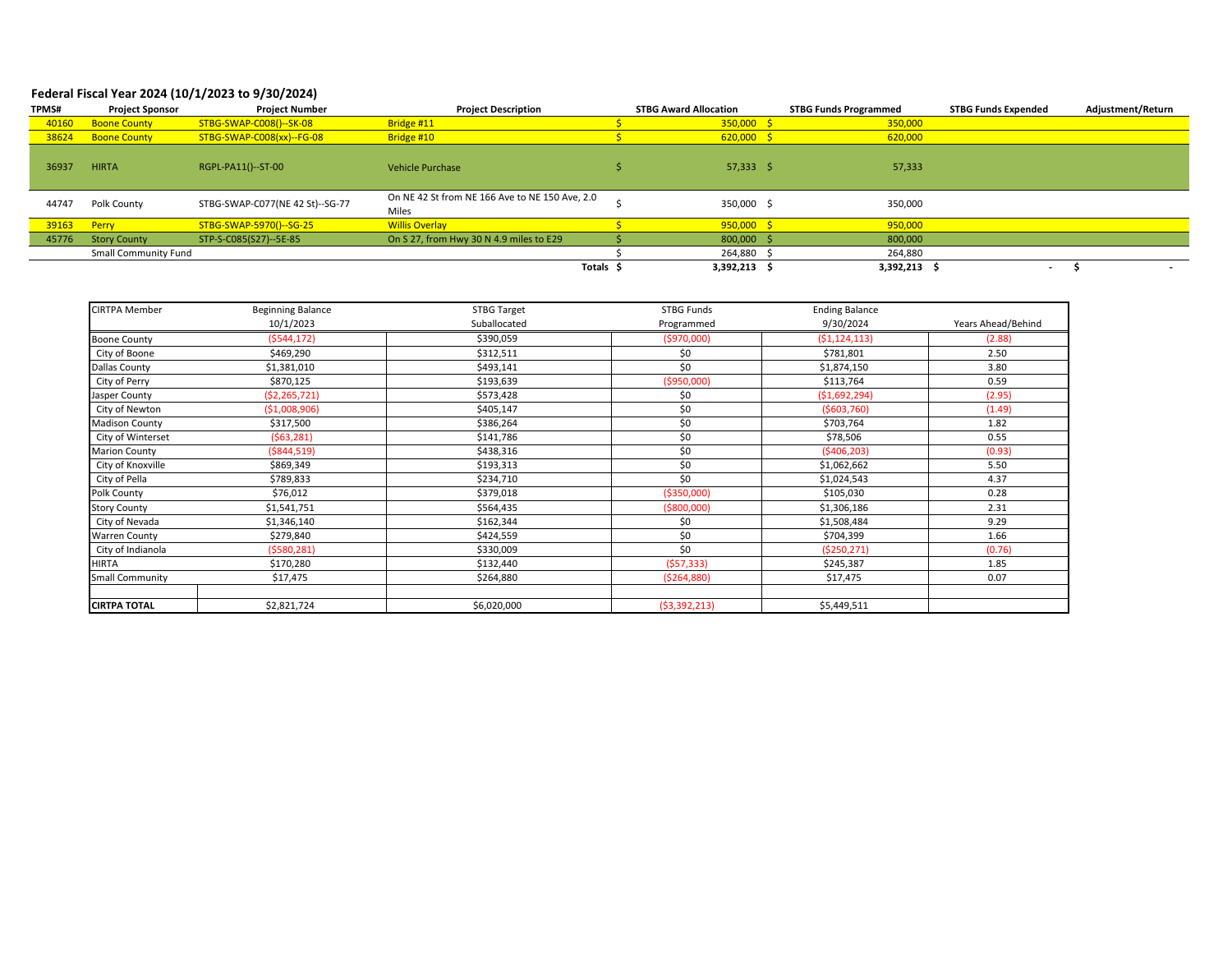## **Federal Fiscal Year 2024 (10/1/2023 to 9/30/2024)**

| TPMS# | <b>Project Sponsor</b> | <b>Project Number</b>           | <b>Project Description</b>                              | <b>STBG Award Allocation</b> | <b>STBG Funds Programmed</b> | <b>STBG Funds Expended</b> | Adjustment/Return |  |
|-------|------------------------|---------------------------------|---------------------------------------------------------|------------------------------|------------------------------|----------------------------|-------------------|--|
| 40160 | <b>Boone County</b>    | STBG-SWAP-C008()--SK-08         | Bridge #11                                              | 350,000                      | 350,000                      |                            |                   |  |
| 38624 | <b>Boone County</b>    | STBG-SWAP-C008(xx)--FG-08       | Bridge #10                                              | 620,000                      | 620,000                      |                            |                   |  |
| 36937 | <b>HIRTA</b>           | RGPL-PA11()--ST-00              | <b>Vehicle Purchase</b>                                 | $57,333$ \$                  | 57,333                       |                            |                   |  |
| 44747 | Polk County            | STBG-SWAP-C077(NE 42 St)--SG-77 | On NE 42 St from NE 166 Ave to NE 150 Ave, 2.0<br>Miles | 350,000 \$                   | 350,000                      |                            |                   |  |
| 39163 | Perry                  | STBG-SWAP-5970()--SG-25         | <b>Willis Overlay</b>                                   | 950,000                      | 950,000                      |                            |                   |  |
| 45776 | <b>Story County</b>    | STP-S-C085(S27)--5E-85          | On S 27, from Hwy 30 N 4.9 miles to E29                 | 800,000 \$                   | 800,000                      |                            |                   |  |
|       | Small Community Fund   |                                 |                                                         | 264,880 \$                   | 264,880                      |                            |                   |  |
|       |                        |                                 | Totals                                                  | 3,392,213 \$                 | 3,392,213                    | $\overline{\phantom{a}}$   |                   |  |

| <b>CIRTPA Member</b>   | <b>Beginning Balance</b> | <b>STBG Target</b> | <b>STBG Funds</b> | <b>Ending Balance</b> |                    |
|------------------------|--------------------------|--------------------|-------------------|-----------------------|--------------------|
|                        | 10/1/2023                | Suballocated       | Programmed        | 9/30/2024             | Years Ahead/Behind |
| <b>Boone County</b>    | (\$544,172)              | \$390,059          | ( \$970,000)      | (51, 124, 113)        | (2.88)             |
| City of Boone          | \$469,290                | \$312,511          | \$0               | \$781,801             | 2.50               |
| <b>Dallas County</b>   | \$1,381,010              | \$493,141          | \$0               | \$1,874,150           | 3.80               |
| City of Perry          | \$870,125                | \$193,639          | ( \$950,000)      | \$113,764             | 0.59               |
| Jasper County          | (\$2,265,721)            | \$573,428          | \$0               | ( \$1,692,294)        | (2.95)             |
| City of Newton         | ( \$1,008,906)           | \$405,147          | \$0               | ( \$603,760)          | (1.49)             |
| <b>Madison County</b>  | \$317,500                | \$386,264          | \$0               | \$703,764             | 1.82               |
| City of Winterset      | (563, 281)               | \$141,786          | \$0               | \$78,506              | 0.55               |
| <b>Marion County</b>   | $($ \$844,519)           | \$438,316          | \$0               | (5406, 203)           | (0.93)             |
| City of Knoxville      | \$869,349                | \$193,313          | \$0               | \$1,062,662           | 5.50               |
| City of Pella          | \$789,833                | \$234,710          | \$0               | \$1,024,543           | 4.37               |
| Polk County            | \$76,012                 | \$379,018          | ( \$350,000)      | \$105,030             | 0.28               |
| <b>Story County</b>    | \$1,541,751              | \$564,435          | ( \$800,000)      | \$1,306,186           | 2.31               |
| City of Nevada         | \$1,346,140              | \$162,344          | \$0               | \$1,508,484           | 9.29               |
| <b>Warren County</b>   | \$279,840                | \$424,559          | \$0               | \$704,399             | 1.66               |
| City of Indianola      | (\$580,281)              | \$330,009          | \$0               | ( \$250, 271)         | (0.76)             |
| <b>HIRTA</b>           | \$170,280                | \$132,440          | (557, 333)        | \$245,387             | 1.85               |
| <b>Small Community</b> | \$17,475                 | \$264,880          | (5264,880)        | \$17,475              | 0.07               |
|                        |                          |                    |                   |                       |                    |
| <b>CIRTPA TOTAL</b>    | \$2,821,724              | \$6,020,000        | (53, 392, 213)    | \$5,449,511           |                    |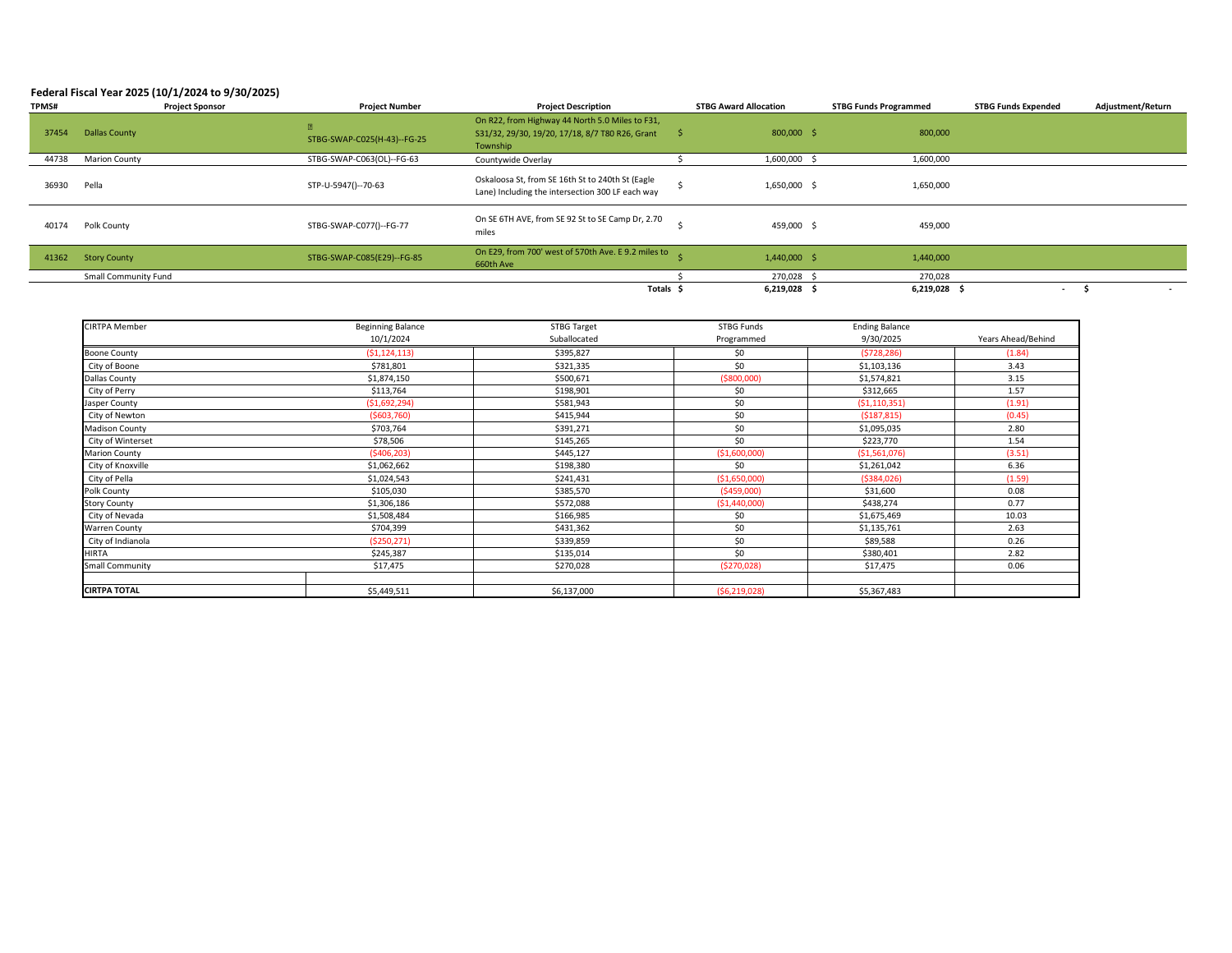## **Federal Fiscal Year 2025 (10/1/2024 to 9/30/2025)**

| <b>TPMS#</b> | <b>Project Sponsor</b> | <b>Project Number</b>                   | <b>Project Description</b>                                                                                     | <b>STBG Award Allocation</b> | <b>STBG Funds Programmed</b> | <b>STBG Funds Expended</b> | <b>Adjustment/Return</b> |
|--------------|------------------------|-----------------------------------------|----------------------------------------------------------------------------------------------------------------|------------------------------|------------------------------|----------------------------|--------------------------|
| 37454        | <b>Dallas County</b>   | <b>P</b><br>STBG-SWAP-C025(H-43)--FG-25 | On R22, from Highway 44 North 5.0 Miles to F31,<br>S31/32, 29/30, 19/20, 17/18, 8/7 T80 R26, Grant<br>Township | 800,000 \$                   | 800,000                      |                            |                          |
| 44738        | <b>Marion County</b>   | STBG-SWAP-C063(OL)--FG-63               | Countywide Overlay                                                                                             | 1,600,000 \$                 | 1,600,000                    |                            |                          |
| 36930        | Pella                  | STP-U-5947()--70-63                     | Oskaloosa St, from SE 16th St to 240th St (Eagle<br>Lane) Including the intersection 300 LF each way           | 1,650,000 \$                 | 1,650,000                    |                            |                          |
| 40174        | Polk County            | STBG-SWAP-C077()--FG-77                 | On SE 6TH AVE, from SE 92 St to SE Camp Dr, 2.70<br>miles                                                      | 459,000 \$                   | 459,000                      |                            |                          |
| 41362        | <b>Story County</b>    | STBG-SWAP-C085(E29)--FG-85              | On E29, from 700' west of 570th Ave. E 9.2 miles to<br>660th Ave                                               | 1,440,000 \$                 | 1,440,000                    |                            |                          |
|              | Small Community Fund   |                                         |                                                                                                                | 270,028 \$                   | 270,028                      |                            |                          |
|              |                        |                                         | Totals S                                                                                                       | $6,219,028$ \$               | 6,219,028                    |                            |                          |

| <b>CIRTPA Member</b>  | <b>Beginning Balance</b> | STBG Target  | STBG Funds     | <b>Ending Balance</b> |                    |
|-----------------------|--------------------------|--------------|----------------|-----------------------|--------------------|
|                       | 10/1/2024                | Suballocated | Programmed     | 9/30/2025             | Years Ahead/Behind |
| <b>Boone County</b>   | (51, 124, 113)           | \$395,827    | \$0            | (5728, 286)           | (1.84)             |
| City of Boone         | \$781,801                | \$321,335    | \$0            | \$1,103,136           | 3.43               |
| Dallas County         | \$1,874,150              | \$500,671    | ( \$800,000]   | \$1,574,821           | 3.15               |
| City of Perry         | \$113,764                | \$198,901    | \$0            | \$312,665             | 1.57               |
| Jasper County         | ( \$1,692,294)           | \$581,943    | \$0            | ( \$1,110,351)        | (1.91)             |
| City of Newton        | (5603,760)               | \$415,944    | \$0            | (5187, 815)           | (0.45)             |
| <b>Madison County</b> | \$703,764                | \$391,271    | \$0            | \$1,095,035           | 2.80               |
| City of Winterset     | \$78,506                 | \$145,265    | \$0            | \$223,770             | 1.54               |
| <b>Marion County</b>  | (5406, 203)              | \$445,127    | (\$1,600,000)  | ( \$1,561,076)        | (3.51)             |
| City of Knoxville     | \$1,062,662              | \$198,380    | \$0            | \$1,261,042           | 6.36               |
| City of Pella         | \$1,024,543              | \$241,431    | (\$1,650,000)  | ( \$384,026)          | (1.59)             |
| Polk County           | \$105,030                | \$385,570    | ( \$459,000]   | \$31,600              | 0.08               |
| <b>Story County</b>   | \$1,306,186              | \$572,088    | ( \$1,440,000) | \$438,274             | 0.77               |
| City of Nevada        | \$1,508,484              | \$166,985    | \$0            | \$1,675,469           | 10.03              |
| <b>Warren County</b>  | \$704,399                | \$431,362    | \$0            | \$1,135,761           | 2.63               |
| City of Indianola     | ( \$250, 271)            | \$339,859    | \$0            | \$89,588              | 0.26               |
| <b>HIRTA</b>          | \$245,387                | \$135,014    | \$0            | \$380,401             | 2.82               |
| Small Community       | \$17,475                 | \$270,028    | (5270,028)     | \$17,475              | 0.06               |
|                       |                          |              |                |                       |                    |
| <b>CIRTPA TOTAL</b>   | \$5,449,511              | \$6,137,000  | (56, 219, 028) | \$5,367,483           |                    |